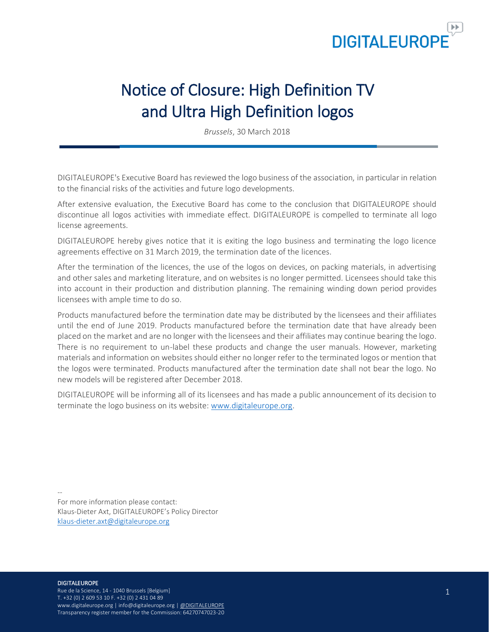

# Notice of Closure: High Definition TV and Ultra High Definition logos

*Brussels*, 30 March 2018

DIGITALEUROPE's Executive Board has reviewed the logo business of the association, in particular in relation to the financial risks of the activities and future logo developments.

After extensive evaluation, the Executive Board has come to the conclusion that DIGITALEUROPE should discontinue all logos activities with immediate effect. DIGITALEUROPE is compelled to terminate all logo license agreements.

DIGITALEUROPE hereby gives notice that it is exiting the logo business and terminating the logo licence agreements effective on 31 March 2019, the termination date of the licences.

After the termination of the licences, the use of the logos on devices, on packing materials, in advertising and other sales and marketing literature, and on websites is no longer permitted. Licensees should take this into account in their production and distribution planning. The remaining winding down period provides licensees with ample time to do so.

Products manufactured before the termination date may be distributed by the licensees and their affiliates until the end of June 2019. Products manufactured before the termination date that have already been placed on the market and are no longer with the licensees and their affiliates may continue bearing the logo. There is no requirement to un-label these products and change the user manuals. However, marketing materials and information on websites should either no longer refer to the terminated logos or mention that the logos were terminated. Products manufactured after the termination date shall not bear the logo. No new models will be registered after December 2018.

DIGITALEUROPE will be informing all of its licensees and has made a public announcement of its decision to terminate the logo business on its website: [www.digitaleurope.org.](http://www.digitaleurope.org/)

-- For more information please contact: Klaus-Dieter Axt, DIGITALEUROPE's Policy Director [klaus-dieter.axt@digitaleurope.org](mailto:klaus-dieter.axt@digitaleurope.org)

#### **DIGITALEUROPE**